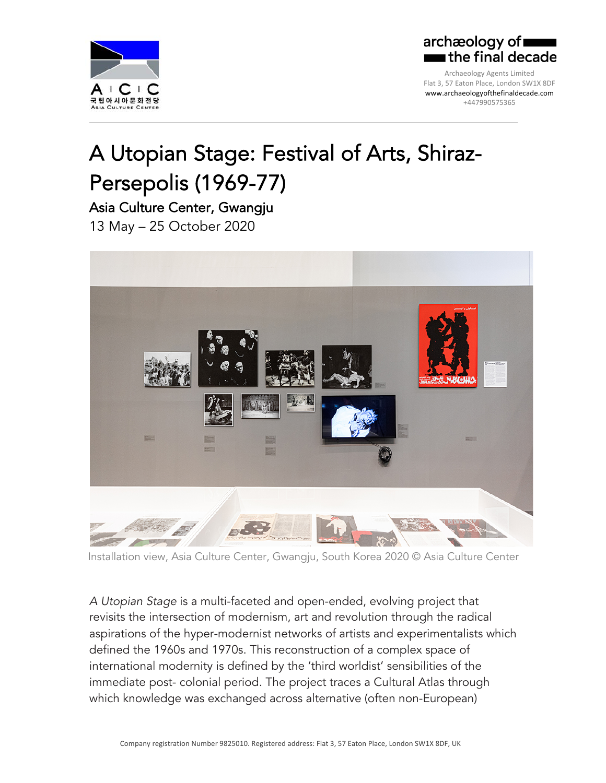

## archæology of  $\blacksquare$  the final decade

Archaeology Agents Limited Flat 3, 57 Eaton Place, London SW1X 8DF www.archaeologyofthefinaldecade.com +447990575365

## A Utopian Stage: Festival of Arts, Shiraz-Persepolis (1969-77)

Asia Culture Center, Gwangju 13 May – 25 October 2020



Installation view, Asia Culture Center, Gwangju, South Korea 2020 © Asia Culture Center

*A Utopian Stage* is a multi-faceted and open-ended, evolving project that revisits the intersection of modernism, art and revolution through the radical aspirations of the hyper-modernist networks of artists and experimentalists which defined the 1960s and 1970s. This reconstruction of a complex space of international modernity is defined by the 'third worldist' sensibilities of the immediate post- colonial period. The project traces a Cultural Atlas through which knowledge was exchanged across alternative (often non-European)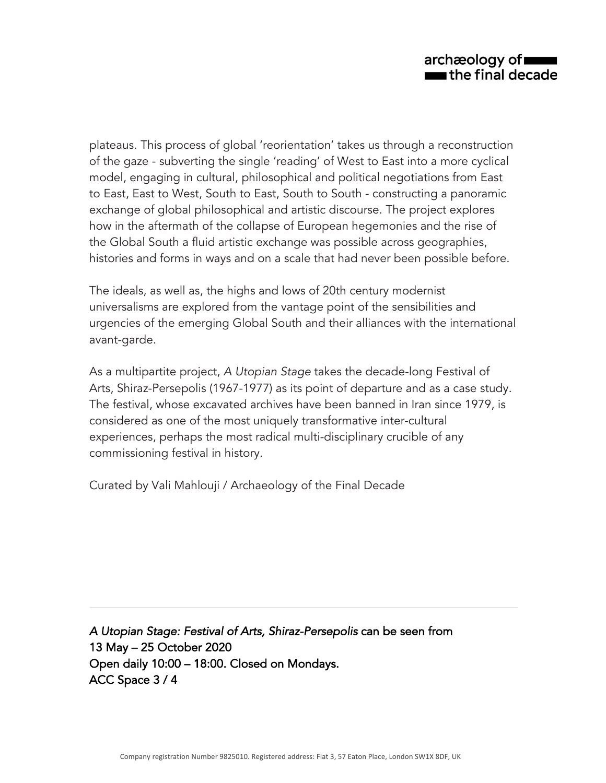plateaus. This process of global 'reorientation' takes us through a reconstruction of the gaze - subverting the single 'reading' of West to East into a more cyclical model, engaging in cultural, philosophical and political negotiations from East to East, East to West, South to East, South to South - constructing a panoramic exchange of global philosophical and artistic discourse. The project explores how in the aftermath of the collapse of European hegemonies and the rise of the Global South a fluid artistic exchange was possible across geographies, histories and forms in ways and on a scale that had never been possible before.

The ideals, as well as, the highs and lows of 20th century modernist universalisms are explored from the vantage point of the sensibilities and urgencies of the emerging Global South and their alliances with the international avant-garde.

As a multipartite project, *A Utopian Stage* takes the decade-long Festival of Arts, Shiraz-Persepolis (1967-1977) as its point of departure and as a case study. The festival, whose excavated archives have been banned in Iran since 1979, is considered as one of the most uniquely transformative inter-cultural experiences, perhaps the most radical multi-disciplinary crucible of any commissioning festival in history.

Curated by Vali Mahlouji / Archaeology of the Final Decade

*A Utopian Stage: Festival of Arts, Shiraz-Persepolis* can be seen from 13 May – 25 October 2020 Open daily 10:00 – 18:00. Closed on Mondays. ACC Space 3 / 4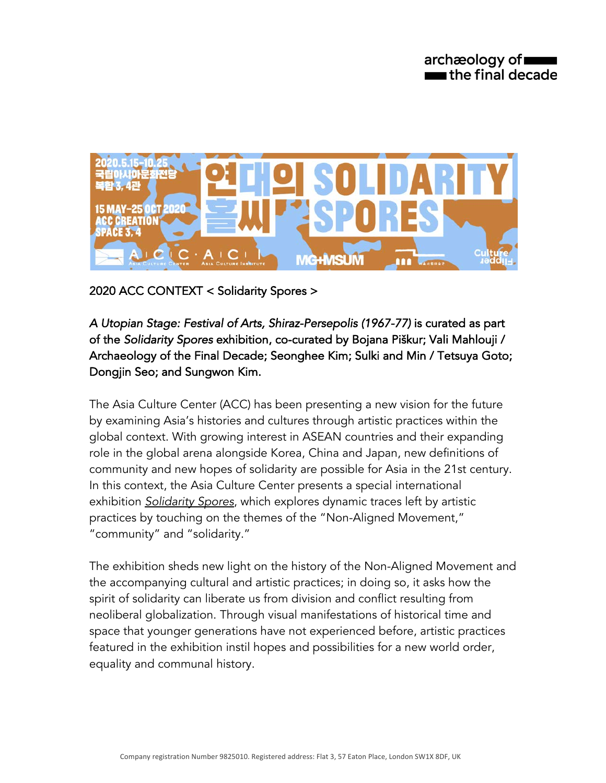

2020 ACC CONTEXT < Solidarity Spores >

*A Utopian Stage: Festival of Arts, Shiraz-Persepolis (1967-77)* is curated as part of the *Solidarity Spores* exhibition, co-curated by Bojana Piškur; Vali Mahlouji / Archaeology of the Final Decade; Seonghee Kim; Sulki and Min / Tetsuya Goto; Dongjin Seo; and Sungwon Kim.

The Asia Culture Center (ACC) has been presenting a new vision for the future by examining Asia's histories and cultures through artistic practices within the global context. With growing interest in ASEAN countries and their expanding role in the global arena alongside Korea, China and Japan, new definitions of community and new hopes of solidarity are possible for Asia in the 21st century. In this context, the Asia Culture Center presents a special international exhibition *Solidarity Spores*, which explores dynamic traces left by artistic practices by touching on the themes of the "Non-Aligned Movement," "community" and "solidarity."

The exhibition sheds new light on the history of the Non-Aligned Movement and the accompanying cultural and artistic practices; in doing so, it asks how the spirit of solidarity can liberate us from division and conflict resulting from neoliberal globalization. Through visual manifestations of historical time and space that younger generations have not experienced before, artistic practices featured in the exhibition instil hopes and possibilities for a new world order, equality and communal history.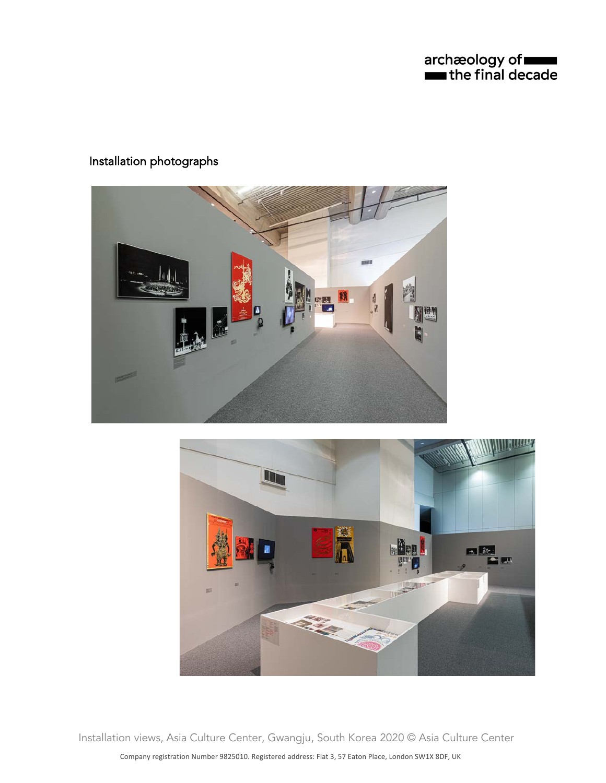archæology of **where**<br> **the final decade** 

## Installation photographs





Installation views, Asia Culture Center, Gwangju, South Korea 2020 © Asia Culture Center

Company registration Number 9825010. Registered address: Flat 3, 57 Eaton Place, London SW1X 8DF, UK